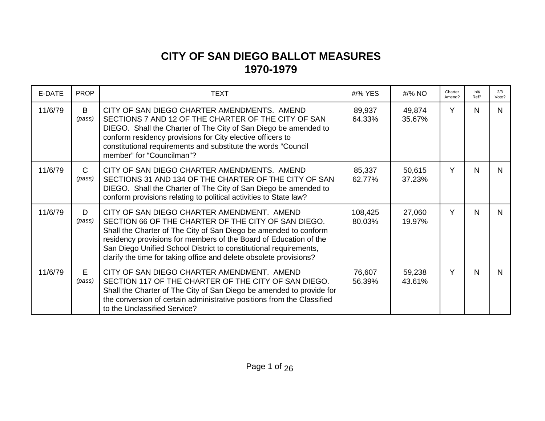## **CITY OF SAN DIEGO BALLOT MEASURES 1970-1979**

| E-DATE  | <b>PROP</b>            | <b>TEXT</b>                                                                                                                                                                                                                                                                                                                                                                           | #/% YES           | #/% NO           | Charter<br>Amend? | Init/<br>Ref? | 2/3<br>Vote? |
|---------|------------------------|---------------------------------------------------------------------------------------------------------------------------------------------------------------------------------------------------------------------------------------------------------------------------------------------------------------------------------------------------------------------------------------|-------------------|------------------|-------------------|---------------|--------------|
| 11/6/79 | B<br>(pass)            | CITY OF SAN DIEGO CHARTER AMENDMENTS. AMEND<br>SECTIONS 7 AND 12 OF THE CHARTER OF THE CITY OF SAN<br>DIEGO. Shall the Charter of The City of San Diego be amended to<br>conform residency provisions for City elective officers to<br>constitutional requirements and substitute the words "Council<br>member" for "Councilman"?                                                     | 89,937<br>64.33%  | 49,874<br>35.67% | Y                 | N             | N            |
| 11/6/79 | $\mathsf{C}$<br>(pass) | CITY OF SAN DIEGO CHARTER AMENDMENTS. AMEND<br>SECTIONS 31 AND 134 OF THE CHARTER OF THE CITY OF SAN<br>DIEGO. Shall the Charter of The City of San Diego be amended to<br>conform provisions relating to political activities to State law?                                                                                                                                          | 85,337<br>62.77%  | 50,615<br>37.23% | Y                 | N             | N.           |
| 11/6/79 | D<br>(pass)            | CITY OF SAN DIEGO CHARTER AMENDMENT. AMEND<br>SECTION 66 OF THE CHARTER OF THE CITY OF SAN DIEGO.<br>Shall the Charter of The City of San Diego be amended to conform<br>residency provisions for members of the Board of Education of the<br>San Diego Unified School District to constitutional requirements,<br>clarify the time for taking office and delete obsolete provisions? | 108,425<br>80.03% | 27,060<br>19.97% | Y                 | N             | <sub>N</sub> |
| 11/6/79 | E.<br>(pass)           | CITY OF SAN DIEGO CHARTER AMENDMENT. AMEND<br>SECTION 117 OF THE CHARTER OF THE CITY OF SAN DIEGO.<br>Shall the Charter of The City of San Diego be amended to provide for<br>the conversion of certain administrative positions from the Classified<br>to the Unclassified Service?                                                                                                  | 76,607<br>56.39%  | 59,238<br>43.61% | Y                 | N             | N            |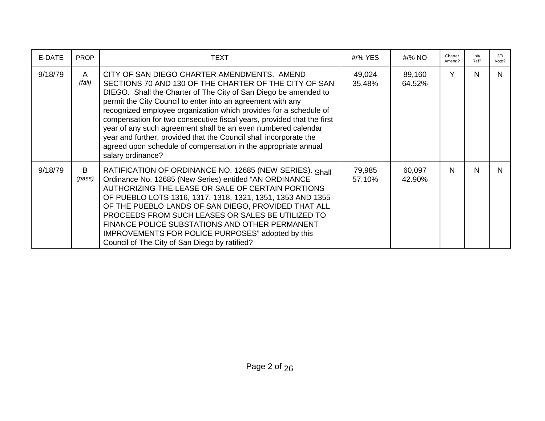| E-DATE  | <b>PROP</b> | TEXT                                                                                                                                                                                                                                                                                                                                                                                                                                                                                                                                                                                                               | #/% YES          | #/% NO           | Charter<br>Amend? | Init/<br>Ref? | 2/3<br>Vote? |
|---------|-------------|--------------------------------------------------------------------------------------------------------------------------------------------------------------------------------------------------------------------------------------------------------------------------------------------------------------------------------------------------------------------------------------------------------------------------------------------------------------------------------------------------------------------------------------------------------------------------------------------------------------------|------------------|------------------|-------------------|---------------|--------------|
| 9/18/79 | A<br>(fail) | CITY OF SAN DIEGO CHARTER AMENDMENTS. AMEND<br>SECTIONS 70 AND 130 OF THE CHARTER OF THE CITY OF SAN<br>DIEGO. Shall the Charter of The City of San Diego be amended to<br>permit the City Council to enter into an agreement with any<br>recognized employee organization which provides for a schedule of<br>compensation for two consecutive fiscal years, provided that the first<br>year of any such agreement shall be an even numbered calendar<br>year and further, provided that the Council shall incorporate the<br>agreed upon schedule of compensation in the appropriate annual<br>salary ordinance? | 49,024<br>35.48% | 89,160<br>64.52% | Y                 | N             | N            |
| 9/18/79 | B<br>(pass) | RATIFICATION OF ORDINANCE NO. 12685 (NEW SERIES). Shall<br>Ordinance No. 12685 (New Series) entitled "AN ORDINANCE<br>AUTHORIZING THE LEASE OR SALE OF CERTAIN PORTIONS<br>OF PUEBLO LOTS 1316, 1317, 1318, 1321, 1351, 1353 AND 1355<br>OF THE PUEBLO LANDS OF SAN DIEGO, PROVIDED THAT ALL<br>PROCEEDS FROM SUCH LEASES OR SALES BE UTILIZED TO<br>FINANCE POLICE SUBSTATIONS AND OTHER PERMANENT<br>IMPROVEMENTS FOR POLICE PURPOSES" adopted by this<br>Council of The City of San Diego by ratified?                                                                                                          | 79,985<br>57.10% | 60,097<br>42.90% | N                 | N             | N.           |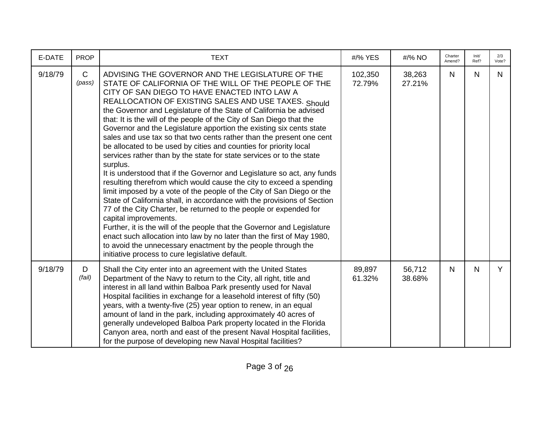| E-DATE  | <b>PROP</b>            | <b>TEXT</b>                                                                                                                                                                                                                                                                                                                                                                                                                                                                                                                                                                                                                                                                                                                                                                                                                                                                                                                                                                                                                                                                                                                                                                                                                                                                                                                                        | #/% YES           | #/% NO           | Charter<br>Amend? | Init/<br>Ref? | 2/3<br>Vote? |
|---------|------------------------|----------------------------------------------------------------------------------------------------------------------------------------------------------------------------------------------------------------------------------------------------------------------------------------------------------------------------------------------------------------------------------------------------------------------------------------------------------------------------------------------------------------------------------------------------------------------------------------------------------------------------------------------------------------------------------------------------------------------------------------------------------------------------------------------------------------------------------------------------------------------------------------------------------------------------------------------------------------------------------------------------------------------------------------------------------------------------------------------------------------------------------------------------------------------------------------------------------------------------------------------------------------------------------------------------------------------------------------------------|-------------------|------------------|-------------------|---------------|--------------|
| 9/18/79 | $\mathsf{C}$<br>(pass) | ADVISING THE GOVERNOR AND THE LEGISLATURE OF THE<br>STATE OF CALIFORNIA OF THE WILL OF THE PEOPLE OF THE<br>CITY OF SAN DIEGO TO HAVE ENACTED INTO LAW A<br>REALLOCATION OF EXISTING SALES AND USE TAXES. Should<br>the Governor and Legislature of the State of California be advised<br>that: It is the will of the people of the City of San Diego that the<br>Governor and the Legislature apportion the existing six cents state<br>sales and use tax so that two cents rather than the present one cent<br>be allocated to be used by cities and counties for priority local<br>services rather than by the state for state services or to the state<br>surplus.<br>It is understood that if the Governor and Legislature so act, any funds<br>resulting therefrom which would cause the city to exceed a spending<br>limit imposed by a vote of the people of the City of San Diego or the<br>State of California shall, in accordance with the provisions of Section<br>77 of the City Charter, be returned to the people or expended for<br>capital improvements.<br>Further, it is the will of the people that the Governor and Legislature<br>enact such allocation into law by no later than the first of May 1980,<br>to avoid the unnecessary enactment by the people through the<br>initiative process to cure legislative default. | 102,350<br>72.79% | 38,263<br>27.21% | N                 | N             | N            |
| 9/18/79 | D<br>(fail)            | Shall the City enter into an agreement with the United States<br>Department of the Navy to return to the City, all right, title and<br>interest in all land within Balboa Park presently used for Naval<br>Hospital facilities in exchange for a leasehold interest of fifty (50)<br>years, with a twenty-five (25) year option to renew, in an equal<br>amount of land in the park, including approximately 40 acres of<br>generally undeveloped Balboa Park property located in the Florida<br>Canyon area, north and east of the present Naval Hospital facilities,<br>for the purpose of developing new Naval Hospital facilities?                                                                                                                                                                                                                                                                                                                                                                                                                                                                                                                                                                                                                                                                                                             | 89,897<br>61.32%  | 56,712<br>38.68% | N                 | N             | Y            |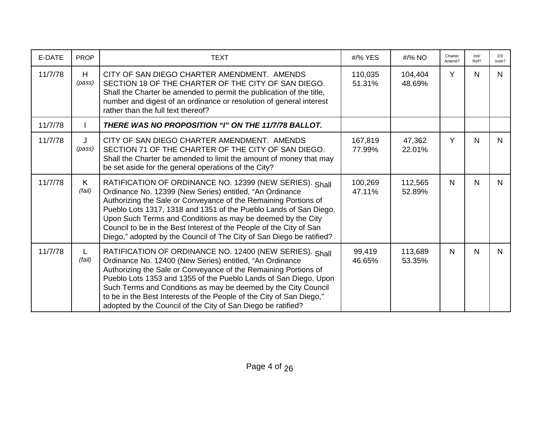| E-DATE  | <b>PROP</b> | <b>TEXT</b>                                                                                                                                                                                                                                                                                                                                                                                                                                                               | #/% YES           | #/% NO            | Charter<br>Amend? | Init/<br>Ref? | 2/3<br>Vote? |
|---------|-------------|---------------------------------------------------------------------------------------------------------------------------------------------------------------------------------------------------------------------------------------------------------------------------------------------------------------------------------------------------------------------------------------------------------------------------------------------------------------------------|-------------------|-------------------|-------------------|---------------|--------------|
| 11/7/78 | H<br>(pass) | CITY OF SAN DIEGO CHARTER AMENDMENT. AMENDS<br>SECTION 18 OF THE CHARTER OF THE CITY OF SAN DIEGO.<br>Shall the Charter be amended to permit the publication of the title,<br>number and digest of an ordinance or resolution of general interest<br>rather than the full text thereof?                                                                                                                                                                                   | 110,035<br>51.31% | 104,404<br>48.69% | Y                 | N             | N.           |
| 11/7/78 |             | THERE WAS NO PROPOSITION "I" ON THE 11/7/78 BALLOT.                                                                                                                                                                                                                                                                                                                                                                                                                       |                   |                   |                   |               |              |
| 11/7/78 | J<br>(pass) | CITY OF SAN DIEGO CHARTER AMENDMENT. AMENDS<br>SECTION 71 OF THE CHARTER OF THE CITY OF SAN DIEGO.<br>Shall the Charter be amended to limit the amount of money that may<br>be set aside for the general operations of the City?                                                                                                                                                                                                                                          | 167,819<br>77.99% | 47,362<br>22.01%  | Y                 | $\mathsf{N}$  | N.           |
| 11/7/78 | K<br>(fail) | RATIFICATION OF ORDINANCE NO. 12399 (NEW SERIES). Shall<br>Ordinance No. 12399 (New Series) entitled, "An Ordinance<br>Authorizing the Sale or Conveyance of the Remaining Portions of<br>Pueblo Lots 1317, 1318 and 1351 of the Pueblo Lands of San Diego,<br>Upon Such Terms and Conditions as may be deemed by the City<br>Council to be in the Best Interest of the People of the City of San<br>Diego," adopted by the Council of The City of San Diego be ratified? | 100,269<br>47.11% | 112,565<br>52.89% | N                 | $\mathsf{N}$  | N.           |
| 11/7/78 | L<br>(fail) | RATIFICATION OF ORDINANCE NO. 12400 (NEW SERIES). Shall<br>Ordinance No. 12400 (New Series) entitled, "An Ordinance<br>Authorizing the Sale or Conveyance of the Remaining Portions of<br>Pueblo Lots 1353 and 1355 of the Pueblo Lands of San Diego, Upon<br>Such Terms and Conditions as may be deemed by the City Council<br>to be in the Best Interests of the People of the City of San Diego,"<br>adopted by the Council of the City of San Diego be ratified?      | 99,419<br>46.65%  | 113,689<br>53.35% | N                 | N             | N.           |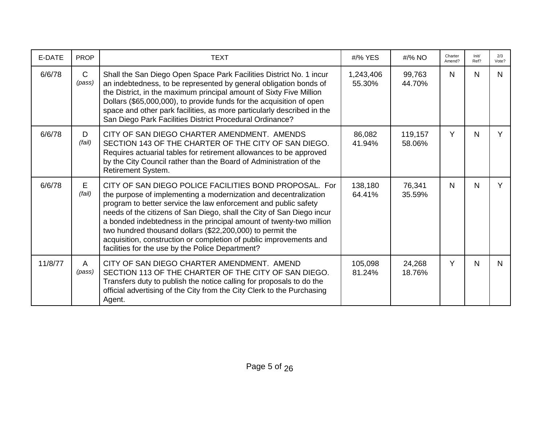| E-DATE  | <b>PROP</b>            | <b>TEXT</b>                                                                                                                                                                                                                                                                                                                                                                                                                                                                                                                          | #/% YES             | #/% NO            | Charter<br>Amend? | Init/<br>Ref? | 2/3<br>Vote? |
|---------|------------------------|--------------------------------------------------------------------------------------------------------------------------------------------------------------------------------------------------------------------------------------------------------------------------------------------------------------------------------------------------------------------------------------------------------------------------------------------------------------------------------------------------------------------------------------|---------------------|-------------------|-------------------|---------------|--------------|
| 6/6/78  | $\mathsf{C}$<br>(pass) | Shall the San Diego Open Space Park Facilities District No. 1 incur<br>an indebtedness, to be represented by general obligation bonds of<br>the District, in the maximum principal amount of Sixty Five Million<br>Dollars (\$65,000,000), to provide funds for the acquisition of open<br>space and other park facilities, as more particularly described in the<br>San Diego Park Facilities District Procedural Ordinance?                                                                                                        | 1,243,406<br>55.30% | 99,763<br>44.70%  | N.                | N             | N.           |
| 6/6/78  | D<br>(fail)            | CITY OF SAN DIEGO CHARTER AMENDMENT. AMENDS<br>SECTION 143 OF THE CHARTER OF THE CITY OF SAN DIEGO.<br>Requires actuarial tables for retirement allowances to be approved<br>by the City Council rather than the Board of Administration of the<br>Retirement System.                                                                                                                                                                                                                                                                | 86,082<br>41.94%    | 119,157<br>58.06% | Y                 | $\mathsf{N}$  | Y            |
| 6/6/78  | E.<br>(fail)           | CITY OF SAN DIEGO POLICE FACILITIES BOND PROPOSAL. For<br>the purpose of implementing a modernization and decentralization<br>program to better service the law enforcement and public safety<br>needs of the citizens of San Diego, shall the City of San Diego incur<br>a bonded indebtedness in the principal amount of twenty-two million<br>two hundred thousand dollars (\$22,200,000) to permit the<br>acquisition, construction or completion of public improvements and<br>facilities for the use by the Police Department? | 138,180<br>64.41%   | 76,341<br>35.59%  | N.                | $\mathsf{N}$  | Y            |
| 11/8/77 | A<br>(pass)            | CITY OF SAN DIEGO CHARTER AMENDMENT. AMEND<br>SECTION 113 OF THE CHARTER OF THE CITY OF SAN DIEGO.<br>Transfers duty to publish the notice calling for proposals to do the<br>official advertising of the City from the City Clerk to the Purchasing<br>Agent.                                                                                                                                                                                                                                                                       | 105,098<br>81.24%   | 24,268<br>18.76%  | Y                 | $\mathsf{N}$  | N.           |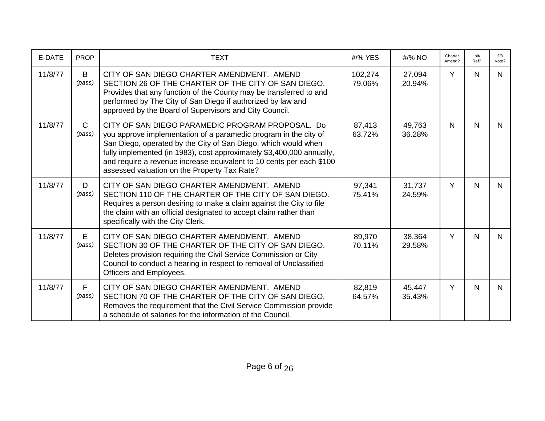| E-DATE  | <b>PROP</b>            | <b>TEXT</b>                                                                                                                                                                                                                                                                                                                                                                             | #/% YES           | #/% NO           | Charter<br>Amend? | Init/<br>Ref? | 2/3<br>Vote? |
|---------|------------------------|-----------------------------------------------------------------------------------------------------------------------------------------------------------------------------------------------------------------------------------------------------------------------------------------------------------------------------------------------------------------------------------------|-------------------|------------------|-------------------|---------------|--------------|
| 11/8/77 | B<br>(pass)            | CITY OF SAN DIEGO CHARTER AMENDMENT. AMEND<br>SECTION 26 OF THE CHARTER OF THE CITY OF SAN DIEGO.<br>Provides that any function of the County may be transferred to and<br>performed by The City of San Diego if authorized by law and<br>approved by the Board of Supervisors and City Council.                                                                                        | 102,274<br>79.06% | 27,094<br>20.94% | Y                 | N             | N            |
| 11/8/77 | $\mathsf{C}$<br>(pass) | CITY OF SAN DIEGO PARAMEDIC PROGRAM PROPOSAL. Do<br>you approve implementation of a paramedic program in the city of<br>San Diego, operated by the City of San Diego, which would when<br>fully implemented (in 1983), cost approximately \$3,400,000 annually,<br>and require a revenue increase equivalent to 10 cents per each \$100<br>assessed valuation on the Property Tax Rate? | 87,413<br>63.72%  | 49,763<br>36.28% | N                 | N             | N.           |
| 11/8/77 | D<br>(pass)            | CITY OF SAN DIEGO CHARTER AMENDMENT. AMEND<br>SECTION 110 OF THE CHARTER OF THE CITY OF SAN DIEGO.<br>Requires a person desiring to make a claim against the City to file<br>the claim with an official designated to accept claim rather than<br>specifically with the City Clerk.                                                                                                     | 97,341<br>75.41%  | 31,737<br>24.59% | Y                 | N             | N.           |
| 11/8/77 | E.<br>(pass)           | CITY OF SAN DIEGO CHARTER AMENDMENT. AMEND<br>SECTION 30 OF THE CHARTER OF THE CITY OF SAN DIEGO.<br>Deletes provision requiring the Civil Service Commission or City<br>Council to conduct a hearing in respect to removal of Unclassified<br>Officers and Employees.                                                                                                                  | 89,970<br>70.11%  | 38,364<br>29.58% | Y                 | N             | N.           |
| 11/8/77 | F<br>(pass)            | CITY OF SAN DIEGO CHARTER AMENDMENT. AMEND<br>SECTION 70 OF THE CHARTER OF THE CITY OF SAN DIEGO.<br>Removes the requirement that the Civil Service Commission provide<br>a schedule of salaries for the information of the Council.                                                                                                                                                    | 82,819<br>64.57%  | 45,447<br>35.43% | Y                 | N             | N.           |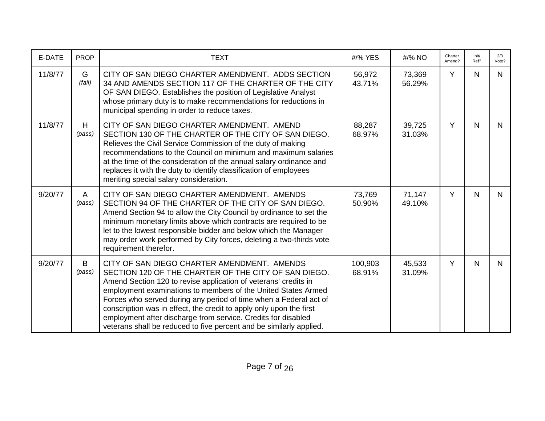| E-DATE  | <b>PROP</b> | <b>TEXT</b>                                                                                                                                                                                                                                                                                                                                                                                                                                                                                                                 | #/% YES           | #/% NO           | Charter<br>Amend? | Init/<br>Ref? | 2/3<br>Vote? |
|---------|-------------|-----------------------------------------------------------------------------------------------------------------------------------------------------------------------------------------------------------------------------------------------------------------------------------------------------------------------------------------------------------------------------------------------------------------------------------------------------------------------------------------------------------------------------|-------------------|------------------|-------------------|---------------|--------------|
| 11/8/77 | G<br>(fail) | CITY OF SAN DIEGO CHARTER AMENDMENT. ADDS SECTION<br>34 AND AMENDS SECTION 117 OF THE CHARTER OF THE CITY<br>OF SAN DIEGO. Establishes the position of Legislative Analyst<br>whose primary duty is to make recommendations for reductions in<br>municipal spending in order to reduce taxes.                                                                                                                                                                                                                               | 56,972<br>43.71%  | 73,369<br>56.29% | Y                 | $\mathsf{N}$  | N.           |
| 11/8/77 | H<br>(pass) | CITY OF SAN DIEGO CHARTER AMENDMENT. AMEND<br>SECTION 130 OF THE CHARTER OF THE CITY OF SAN DIEGO.<br>Relieves the Civil Service Commission of the duty of making<br>recommendations to the Council on minimum and maximum salaries<br>at the time of the consideration of the annual salary ordinance and<br>replaces it with the duty to identify classification of employees<br>meriting special salary consideration.                                                                                                   | 88,287<br>68.97%  | 39,725<br>31.03% | Y                 | $\mathsf{N}$  | N.           |
| 9/20/77 | A<br>(pass) | CITY OF SAN DIEGO CHARTER AMENDMENT. AMENDS<br>SECTION 94 OF THE CHARTER OF THE CITY OF SAN DIEGO.<br>Amend Section 94 to allow the City Council by ordinance to set the<br>minimum monetary limits above which contracts are required to be<br>let to the lowest responsible bidder and below which the Manager<br>may order work performed by City forces, deleting a two-thirds vote<br>requirement therefor.                                                                                                            | 73,769<br>50.90%  | 71,147<br>49.10% | Y                 | N             | N.           |
| 9/20/77 | B<br>(pass) | CITY OF SAN DIEGO CHARTER AMENDMENT. AMENDS<br>SECTION 120 OF THE CHARTER OF THE CITY OF SAN DIEGO.<br>Amend Section 120 to revise application of veterans' credits in<br>employment examinations to members of the United States Armed<br>Forces who served during any period of time when a Federal act of<br>conscription was in effect, the credit to apply only upon the first<br>employment after discharge from service. Credits for disabled<br>veterans shall be reduced to five percent and be similarly applied. | 100,903<br>68.91% | 45,533<br>31.09% | Y                 | $\mathsf{N}$  | N.           |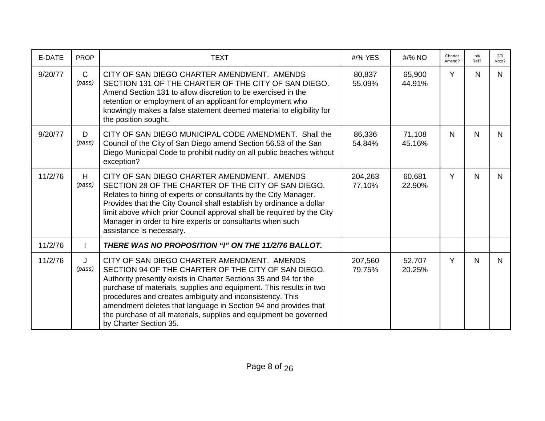| E-DATE  | <b>PROP</b>            | <b>TEXT</b>                                                                                                                                                                                                                                                                                                                                                                                                                                                                | #/% YES           | #/% NO           | Charter<br>Amend? | Init/<br>Ref? | 2/3<br>Vote? |
|---------|------------------------|----------------------------------------------------------------------------------------------------------------------------------------------------------------------------------------------------------------------------------------------------------------------------------------------------------------------------------------------------------------------------------------------------------------------------------------------------------------------------|-------------------|------------------|-------------------|---------------|--------------|
| 9/20/77 | $\mathsf{C}$<br>(pass) | CITY OF SAN DIEGO CHARTER AMENDMENT. AMENDS<br>SECTION 131 OF THE CHARTER OF THE CITY OF SAN DIEGO.<br>Amend Section 131 to allow discretion to be exercised in the<br>retention or employment of an applicant for employment who<br>knowingly makes a false statement deemed material to eligibility for<br>the position sought.                                                                                                                                          | 80,837<br>55.09%  | 65,900<br>44.91% | Y                 | N             | $\mathsf{N}$ |
| 9/20/77 | D<br>(pass)            | CITY OF SAN DIEGO MUNICIPAL CODE AMENDMENT. Shall the<br>Council of the City of San Diego amend Section 56.53 of the San<br>Diego Municipal Code to prohibit nudity on all public beaches without<br>exception?                                                                                                                                                                                                                                                            | 86,336<br>54.84%  | 71,108<br>45.16% | N                 | N             | N.           |
| 11/2/76 | H<br>(pass)            | CITY OF SAN DIEGO CHARTER AMENDMENT. AMENDS<br>SECTION 28 OF THE CHARTER OF THE CITY OF SAN DIEGO.<br>Relates to hiring of experts or consultants by the City Manager.<br>Provides that the City Council shall establish by ordinance a dollar<br>limit above which prior Council approval shall be required by the City<br>Manager in order to hire experts or consultants when such<br>assistance is necessary.                                                          | 204,263<br>77.10% | 60,681<br>22.90% | Y                 | N             | N.           |
| 11/2/76 |                        | THERE WAS NO PROPOSITION "I" ON THE 11/2/76 BALLOT.                                                                                                                                                                                                                                                                                                                                                                                                                        |                   |                  |                   |               |              |
| 11/2/76 | J<br>(pass)            | CITY OF SAN DIEGO CHARTER AMENDMENT. AMENDS<br>SECTION 94 OF THE CHARTER OF THE CITY OF SAN DIEGO.<br>Authority presently exists in Charter Sections 35 and 94 for the<br>purchase of materials, supplies and equipment. This results in two<br>procedures and creates ambiguity and inconsistency. This<br>amendment deletes that language in Section 94 and provides that<br>the purchase of all materials, supplies and equipment be governed<br>by Charter Section 35. | 207,560<br>79.75% | 52,707<br>20.25% | Y                 | N             | N.           |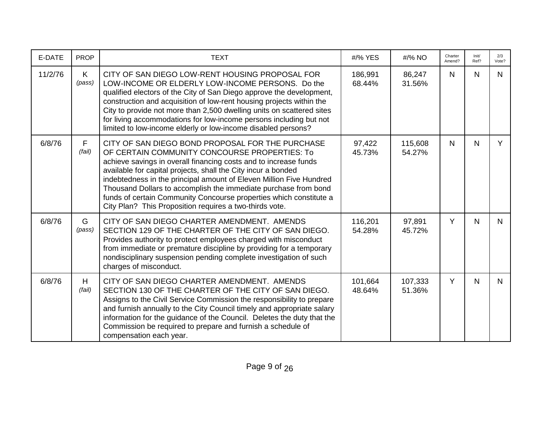| E-DATE  | <b>PROP</b> | <b>TEXT</b>                                                                                                                                                                                                                                                                                                                                                                                                                                                                                                       | #/% YES           | #/% NO            | Charter<br>Amend? | Init/<br>Ref? | 2/3<br>Vote? |
|---------|-------------|-------------------------------------------------------------------------------------------------------------------------------------------------------------------------------------------------------------------------------------------------------------------------------------------------------------------------------------------------------------------------------------------------------------------------------------------------------------------------------------------------------------------|-------------------|-------------------|-------------------|---------------|--------------|
| 11/2/76 | K<br>(pass) | CITY OF SAN DIEGO LOW-RENT HOUSING PROPOSAL FOR<br>LOW-INCOME OR ELDERLY LOW-INCOME PERSONS. Do the<br>qualified electors of the City of San Diego approve the development,<br>construction and acquisition of low-rent housing projects within the<br>City to provide not more than 2,500 dwelling units on scattered sites<br>for living accommodations for low-income persons including but not<br>limited to low-income elderly or low-income disabled persons?                                               | 186,991<br>68.44% | 86,247<br>31.56%  | N                 | N             | N.           |
| 6/8/76  | F<br>(fail) | CITY OF SAN DIEGO BOND PROPOSAL FOR THE PURCHASE<br>OF CERTAIN COMMUNITY CONCOURSE PROPERTIES: To<br>achieve savings in overall financing costs and to increase funds<br>available for capital projects, shall the City incur a bonded<br>indebtedness in the principal amount of Eleven Million Five Hundred<br>Thousand Dollars to accomplish the immediate purchase from bond<br>funds of certain Community Concourse properties which constitute a<br>City Plan? This Proposition requires a two-thirds vote. | 97,422<br>45.73%  | 115,608<br>54.27% | N.                | N             | Y            |
| 6/8/76  | G<br>(pass) | CITY OF SAN DIEGO CHARTER AMENDMENT. AMENDS<br>SECTION 129 OF THE CHARTER OF THE CITY OF SAN DIEGO.<br>Provides authority to protect employees charged with misconduct<br>from immediate or premature discipline by providing for a temporary<br>nondisciplinary suspension pending complete investigation of such<br>charges of misconduct.                                                                                                                                                                      | 116,201<br>54.28% | 97,891<br>45.72%  | Y                 | $\mathsf{N}$  | N.           |
| 6/8/76  | H<br>(fail) | CITY OF SAN DIEGO CHARTER AMENDMENT. AMENDS<br>SECTION 130 OF THE CHARTER OF THE CITY OF SAN DIEGO.<br>Assigns to the Civil Service Commission the responsibility to prepare<br>and furnish annually to the City Council timely and appropriate salary<br>information for the guidance of the Council. Deletes the duty that the<br>Commission be required to prepare and furnish a schedule of<br>compensation each year.                                                                                        | 101,664<br>48.64% | 107,333<br>51.36% | Y                 | N             | N.           |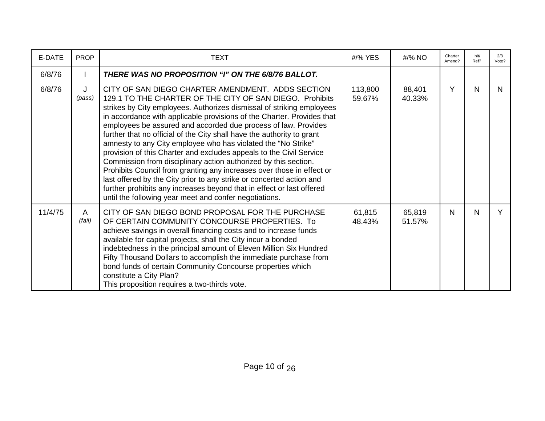| E-DATE  | <b>PROP</b> | <b>TEXT</b>                                                                                                                                                                                                                                                                                                                                                                                                                                                                                                                                                                                                                                                                                                                                                                                                                                                                                                 | #/% YES           | $\frac{\text{H}}{96}$ NO | Charter<br>Amend? | Init/<br>Ref? | 2/3<br>Vote? |
|---------|-------------|-------------------------------------------------------------------------------------------------------------------------------------------------------------------------------------------------------------------------------------------------------------------------------------------------------------------------------------------------------------------------------------------------------------------------------------------------------------------------------------------------------------------------------------------------------------------------------------------------------------------------------------------------------------------------------------------------------------------------------------------------------------------------------------------------------------------------------------------------------------------------------------------------------------|-------------------|--------------------------|-------------------|---------------|--------------|
| 6/8/76  |             | THERE WAS NO PROPOSITION "I" ON THE 6/8/76 BALLOT.                                                                                                                                                                                                                                                                                                                                                                                                                                                                                                                                                                                                                                                                                                                                                                                                                                                          |                   |                          |                   |               |              |
| 6/8/76  | J<br>(pass) | CITY OF SAN DIEGO CHARTER AMENDMENT. ADDS SECTION<br>129.1 TO THE CHARTER OF THE CITY OF SAN DIEGO. Prohibits<br>strikes by City employees. Authorizes dismissal of striking employees<br>in accordance with applicable provisions of the Charter. Provides that<br>employees be assured and accorded due process of law. Provides<br>further that no official of the City shall have the authority to grant<br>amnesty to any City employee who has violated the "No Strike"<br>provision of this Charter and excludes appeals to the Civil Service<br>Commission from disciplinary action authorized by this section.<br>Prohibits Council from granting any increases over those in effect or<br>last offered by the City prior to any strike or concerted action and<br>further prohibits any increases beyond that in effect or last offered<br>until the following year meet and confer negotiations. | 113,800<br>59.67% | 88,401<br>40.33%         | Y                 | N             | N.           |
| 11/4/75 | A<br>(fail) | CITY OF SAN DIEGO BOND PROPOSAL FOR THE PURCHASE<br>OF CERTAIN COMMUNITY CONCOURSE PROPERTIES. To<br>achieve savings in overall financing costs and to increase funds<br>available for capital projects, shall the City incur a bonded<br>indebtedness in the principal amount of Eleven Million Six Hundred<br>Fifty Thousand Dollars to accomplish the immediate purchase from<br>bond funds of certain Community Concourse properties which<br>constitute a City Plan?<br>This proposition requires a two-thirds vote.                                                                                                                                                                                                                                                                                                                                                                                   | 61,815<br>48.43%  | 65,819<br>51.57%         | N                 | N             | Y            |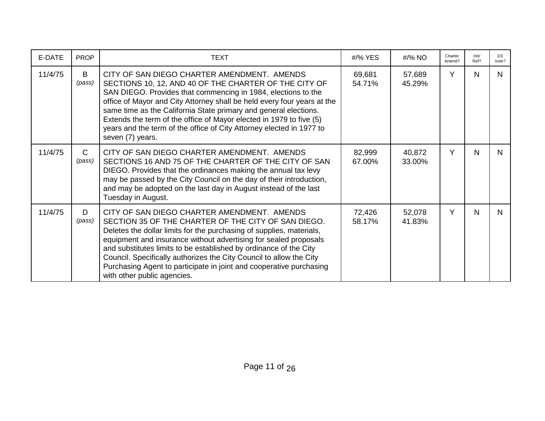| E-DATE  | <b>PROP</b>            | <b>TEXT</b>                                                                                                                                                                                                                                                                                                                                                                                                                                                                                      | #/% YES          | #/% NO           | Charter<br>Amend? | Init/<br>Ref? | 2/3<br>Vote? |
|---------|------------------------|--------------------------------------------------------------------------------------------------------------------------------------------------------------------------------------------------------------------------------------------------------------------------------------------------------------------------------------------------------------------------------------------------------------------------------------------------------------------------------------------------|------------------|------------------|-------------------|---------------|--------------|
| 11/4/75 | B<br>(pass)            | CITY OF SAN DIEGO CHARTER AMENDMENT. AMENDS<br>SECTIONS 10, 12, AND 40 OF THE CHARTER OF THE CITY OF<br>SAN DIEGO. Provides that commencing in 1984, elections to the<br>office of Mayor and City Attorney shall be held every four years at the<br>same time as the California State primary and general elections.<br>Extends the term of the office of Mayor elected in 1979 to five (5)<br>years and the term of the office of City Attorney elected in 1977 to<br>seven (7) years.          | 69,681<br>54.71% | 57,689<br>45.29% | Y                 | N             | N.           |
| 11/4/75 | $\mathsf{C}$<br>(pass) | CITY OF SAN DIEGO CHARTER AMENDMENT. AMENDS<br>SECTIONS 16 AND 75 OF THE CHARTER OF THE CITY OF SAN<br>DIEGO. Provides that the ordinances making the annual tax levy<br>may be passed by the City Council on the day of their introduction,<br>and may be adopted on the last day in August instead of the last<br>Tuesday in August.                                                                                                                                                           | 82,999<br>67.00% | 40,872<br>33.00% | Y                 | N             | N            |
| 11/4/75 | D<br>(pass)            | CITY OF SAN DIEGO CHARTER AMENDMENT. AMENDS<br>SECTION 35 OF THE CHARTER OF THE CITY OF SAN DIEGO.<br>Deletes the dollar limits for the purchasing of supplies, materials,<br>equipment and insurance without advertising for sealed proposals<br>and substitutes limits to be established by ordinance of the City<br>Council. Specifically authorizes the City Council to allow the City<br>Purchasing Agent to participate in joint and cooperative purchasing<br>with other public agencies. | 72,426<br>58.17% | 52,078<br>41.83% | Y                 | N             | N            |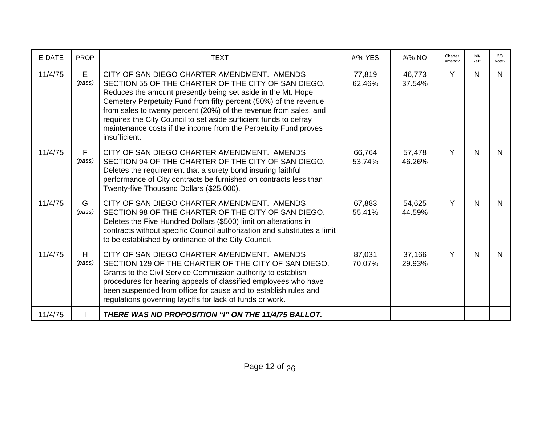| E-DATE  | <b>PROP</b> | <b>TEXT</b>                                                                                                                                                                                                                                                                                                                                                                                                                                                          | #/% YES          | #/% NO           | Charter<br>Amend? | Init/<br>Ref? | 2/3<br>Vote? |
|---------|-------------|----------------------------------------------------------------------------------------------------------------------------------------------------------------------------------------------------------------------------------------------------------------------------------------------------------------------------------------------------------------------------------------------------------------------------------------------------------------------|------------------|------------------|-------------------|---------------|--------------|
| 11/4/75 | E<br>(pass) | CITY OF SAN DIEGO CHARTER AMENDMENT. AMENDS<br>SECTION 55 OF THE CHARTER OF THE CITY OF SAN DIEGO.<br>Reduces the amount presently being set aside in the Mt. Hope<br>Cemetery Perpetuity Fund from fifty percent (50%) of the revenue<br>from sales to twenty percent (20%) of the revenue from sales, and<br>requires the City Council to set aside sufficient funds to defray<br>maintenance costs if the income from the Perpetuity Fund proves<br>insufficient. | 77,819<br>62.46% | 46,773<br>37.54% | Y                 | $\mathsf{N}$  | N.           |
| 11/4/75 | F<br>(pass) | CITY OF SAN DIEGO CHARTER AMENDMENT. AMENDS<br>SECTION 94 OF THE CHARTER OF THE CITY OF SAN DIEGO.<br>Deletes the requirement that a surety bond insuring faithful<br>performance of City contracts be furnished on contracts less than<br>Twenty-five Thousand Dollars (\$25,000).                                                                                                                                                                                  | 66,764<br>53.74% | 57,478<br>46.26% | Y                 | $\mathsf{N}$  | N            |
| 11/4/75 | G<br>(pass) | CITY OF SAN DIEGO CHARTER AMENDMENT. AMENDS<br>SECTION 98 OF THE CHARTER OF THE CITY OF SAN DIEGO.<br>Deletes the Five Hundred Dollars (\$500) limit on alterations in<br>contracts without specific Council authorization and substitutes a limit<br>to be established by ordinance of the City Council.                                                                                                                                                            | 67,883<br>55.41% | 54,625<br>44.59% | Y                 | $\mathsf{N}$  | N            |
| 11/4/75 | H<br>(pass) | CITY OF SAN DIEGO CHARTER AMENDMENT. AMENDS<br>SECTION 129 OF THE CHARTER OF THE CITY OF SAN DIEGO.<br>Grants to the Civil Service Commission authority to establish<br>procedures for hearing appeals of classified employees who have<br>been suspended from office for cause and to establish rules and<br>regulations governing layoffs for lack of funds or work.                                                                                               | 87,031<br>70.07% | 37,166<br>29.93% | Y                 | N             | N            |
| 11/4/75 |             | THERE WAS NO PROPOSITION "I" ON THE 11/4/75 BALLOT.                                                                                                                                                                                                                                                                                                                                                                                                                  |                  |                  |                   |               |              |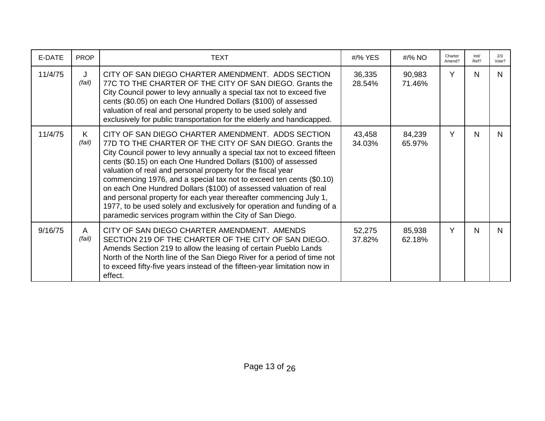| E-DATE  | <b>PROP</b> | <b>TEXT</b>                                                                                                                                                                                                                                                                                                                                                                                                                                                                                                                                                                                                                                                                     | #/% YES          | #/% NO           | Charter<br>Amend? | Init/<br>Ref? | 2/3<br>Vote? |
|---------|-------------|---------------------------------------------------------------------------------------------------------------------------------------------------------------------------------------------------------------------------------------------------------------------------------------------------------------------------------------------------------------------------------------------------------------------------------------------------------------------------------------------------------------------------------------------------------------------------------------------------------------------------------------------------------------------------------|------------------|------------------|-------------------|---------------|--------------|
| 11/4/75 | J<br>(fail) | CITY OF SAN DIEGO CHARTER AMENDMENT. ADDS SECTION<br>77C TO THE CHARTER OF THE CITY OF SAN DIEGO. Grants the<br>City Council power to levy annually a special tax not to exceed five<br>cents (\$0.05) on each One Hundred Dollars (\$100) of assessed<br>valuation of real and personal property to be used solely and<br>exclusively for public transportation for the elderly and handicapped.                                                                                                                                                                                                                                                                               | 36,335<br>28.54% | 90,983<br>71.46% | Y                 | N             | N.           |
| 11/4/75 | K<br>(fail) | CITY OF SAN DIEGO CHARTER AMENDMENT. ADDS SECTION<br>77D TO THE CHARTER OF THE CITY OF SAN DIEGO. Grants the<br>City Council power to levy annually a special tax not to exceed fifteen<br>cents (\$0.15) on each One Hundred Dollars (\$100) of assessed<br>valuation of real and personal property for the fiscal year<br>commencing 1976, and a special tax not to exceed ten cents (\$0.10)<br>on each One Hundred Dollars (\$100) of assessed valuation of real<br>and personal property for each year thereafter commencing July 1,<br>1977, to be used solely and exclusively for operation and funding of a<br>paramedic services program within the City of San Diego. | 43,458<br>34.03% | 84,239<br>65.97% | Y                 | N             | N            |
| 9/16/75 | A<br>(fail) | CITY OF SAN DIEGO CHARTER AMENDMENT. AMENDS<br>SECTION 219 OF THE CHARTER OF THE CITY OF SAN DIEGO.<br>Amends Section 219 to allow the leasing of certain Pueblo Lands<br>North of the North line of the San Diego River for a period of time not<br>to exceed fifty-five years instead of the fifteen-year limitation now in<br>effect.                                                                                                                                                                                                                                                                                                                                        | 52,275<br>37.82% | 85,938<br>62.18% | Y                 | N             | N.           |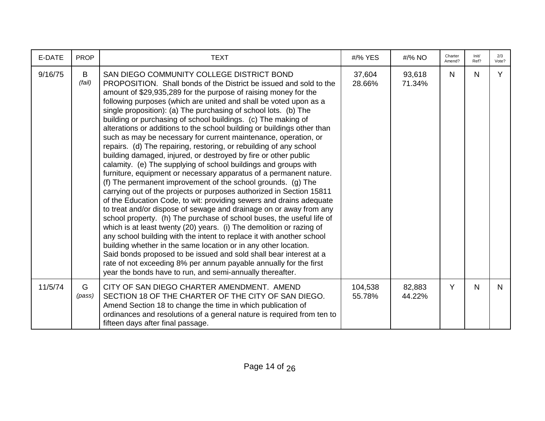| E-DATE  | <b>PROP</b> | <b>TEXT</b>                                                                                                                                                                                                                                                                                                                                                                                                                                                                                                                                                                                                                                                                                                                                                                                                                                                                                                                                                                                                                                                                                                                                                                                                                                                                                                                                                                                                                                                                                                                                                                                                           | #/% YES           | #/% NO           | Charter<br>Amend? | Init/<br>Ref? | 2/3<br>Vote? |
|---------|-------------|-----------------------------------------------------------------------------------------------------------------------------------------------------------------------------------------------------------------------------------------------------------------------------------------------------------------------------------------------------------------------------------------------------------------------------------------------------------------------------------------------------------------------------------------------------------------------------------------------------------------------------------------------------------------------------------------------------------------------------------------------------------------------------------------------------------------------------------------------------------------------------------------------------------------------------------------------------------------------------------------------------------------------------------------------------------------------------------------------------------------------------------------------------------------------------------------------------------------------------------------------------------------------------------------------------------------------------------------------------------------------------------------------------------------------------------------------------------------------------------------------------------------------------------------------------------------------------------------------------------------------|-------------------|------------------|-------------------|---------------|--------------|
| 9/16/75 | B<br>(fail) | SAN DIEGO COMMUNITY COLLEGE DISTRICT BOND<br>PROPOSITION. Shall bonds of the District be issued and sold to the<br>amount of \$29,935,289 for the purpose of raising money for the<br>following purposes (which are united and shall be voted upon as a<br>single proposition): (a) The purchasing of school lots. (b) The<br>building or purchasing of school buildings. (c) The making of<br>alterations or additions to the school building or buildings other than<br>such as may be necessary for current maintenance, operation, or<br>repairs. (d) The repairing, restoring, or rebuilding of any school<br>building damaged, injured, or destroyed by fire or other public<br>calamity. (e) The supplying of school buildings and groups with<br>furniture, equipment or necessary apparatus of a permanent nature.<br>(f) The permanent improvement of the school grounds. (g) The<br>carrying out of the projects or purposes authorized in Section 15811<br>of the Education Code, to wit: providing sewers and drains adequate<br>to treat and/or dispose of sewage and drainage on or away from any<br>school property. (h) The purchase of school buses, the useful life of<br>which is at least twenty (20) years. (i) The demolition or razing of<br>any school building with the intent to replace it with another school<br>building whether in the same location or in any other location.<br>Said bonds proposed to be issued and sold shall bear interest at a<br>rate of not exceeding 8% per annum payable annually for the first<br>year the bonds have to run, and semi-annually thereafter. | 37,604<br>28.66%  | 93,618<br>71.34% | N                 | N             | Y            |
| 11/5/74 | G<br>(pass) | CITY OF SAN DIEGO CHARTER AMENDMENT. AMEND<br>SECTION 18 OF THE CHARTER OF THE CITY OF SAN DIEGO.<br>Amend Section 18 to change the time in which publication of<br>ordinances and resolutions of a general nature is required from ten to<br>fifteen days after final passage.                                                                                                                                                                                                                                                                                                                                                                                                                                                                                                                                                                                                                                                                                                                                                                                                                                                                                                                                                                                                                                                                                                                                                                                                                                                                                                                                       | 104,538<br>55.78% | 82,883<br>44.22% | Y                 | N             | N.           |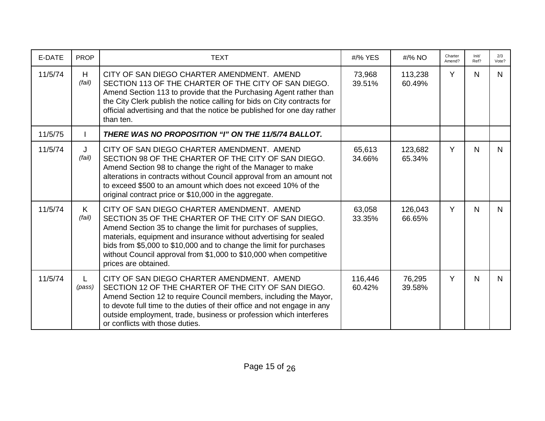| E-DATE  | <b>PROP</b>  | <b>TEXT</b>                                                                                                                                                                                                                                                                                                                                                                                                    | #/% YES           | #/% NO            | Charter<br>Amend? | Init/<br>Ref? | 2/3<br>Vote? |
|---------|--------------|----------------------------------------------------------------------------------------------------------------------------------------------------------------------------------------------------------------------------------------------------------------------------------------------------------------------------------------------------------------------------------------------------------------|-------------------|-------------------|-------------------|---------------|--------------|
| 11/5/74 | H<br>(fail)  | CITY OF SAN DIEGO CHARTER AMENDMENT. AMEND<br>SECTION 113 OF THE CHARTER OF THE CITY OF SAN DIEGO.<br>Amend Section 113 to provide that the Purchasing Agent rather than<br>the City Clerk publish the notice calling for bids on City contracts for<br>official advertising and that the notice be published for one day rather<br>than ten.                                                                  | 73,968<br>39.51%  | 113,238<br>60.49% | Y                 | N             | N.           |
| 11/5/75 |              | THERE WAS NO PROPOSITION "I" ON THE 11/5/74 BALLOT.                                                                                                                                                                                                                                                                                                                                                            |                   |                   |                   |               |              |
| 11/5/74 | J<br>(fail)  | CITY OF SAN DIEGO CHARTER AMENDMENT. AMEND<br>SECTION 98 OF THE CHARTER OF THE CITY OF SAN DIEGO.<br>Amend Section 98 to change the right of the Manager to make<br>alterations in contracts without Council approval from an amount not<br>to exceed \$500 to an amount which does not exceed 10% of the<br>original contract price or \$10,000 in the aggregate.                                             | 65,613<br>34.66%  | 123,682<br>65.34% | Y                 | N             | N.           |
| 11/5/74 | K.<br>(fail) | CITY OF SAN DIEGO CHARTER AMENDMENT. AMEND<br>SECTION 35 OF THE CHARTER OF THE CITY OF SAN DIEGO.<br>Amend Section 35 to change the limit for purchases of supplies,<br>materials, equipment and insurance without advertising for sealed<br>bids from \$5,000 to \$10,000 and to change the limit for purchases<br>without Council approval from \$1,000 to \$10,000 when competitive<br>prices are obtained. | 63,058<br>33.35%  | 126,043<br>66.65% | Y                 | $\mathsf{N}$  | N.           |
| 11/5/74 | (pass)       | CITY OF SAN DIEGO CHARTER AMENDMENT. AMEND<br>SECTION 12 OF THE CHARTER OF THE CITY OF SAN DIEGO.<br>Amend Section 12 to require Council members, including the Mayor,<br>to devote full time to the duties of their office and not engage in any<br>outside employment, trade, business or profession which interferes<br>or conflicts with those duties.                                                     | 116,446<br>60.42% | 76,295<br>39.58%  | Y                 | $\mathsf{N}$  | N            |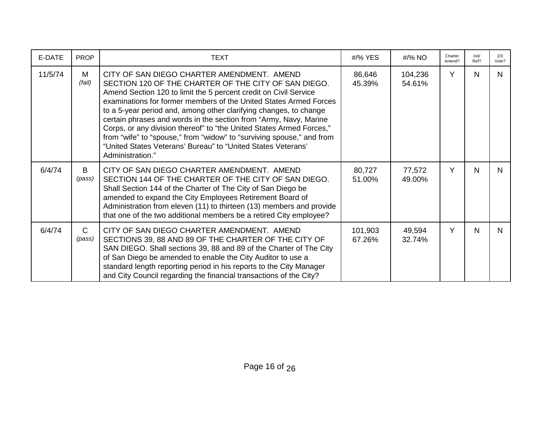| E-DATE  | <b>PROP</b>            | <b>TEXT</b>                                                                                                                                                                                                                                                                                                                                                                                                                                                                                                                                                                                                                | #/% YES           | #/% NO            | Charter<br>Amend? | Init/<br>Ref? | 2/3<br>Vote? |
|---------|------------------------|----------------------------------------------------------------------------------------------------------------------------------------------------------------------------------------------------------------------------------------------------------------------------------------------------------------------------------------------------------------------------------------------------------------------------------------------------------------------------------------------------------------------------------------------------------------------------------------------------------------------------|-------------------|-------------------|-------------------|---------------|--------------|
| 11/5/74 | M<br>(fail)            | CITY OF SAN DIEGO CHARTER AMENDMENT. AMEND<br>SECTION 120 OF THE CHARTER OF THE CITY OF SAN DIEGO.<br>Amend Section 120 to limit the 5 percent credit on Civil Service<br>examinations for former members of the United States Armed Forces<br>to a 5-year period and, among other clarifying changes, to change<br>certain phrases and words in the section from "Army, Navy, Marine<br>Corps, or any division thereof" to "the United States Armed Forces,"<br>from "wife" to "spouse," from "widow" to "surviving spouse," and from<br>"United States Veterans' Bureau" to "United States Veterans'<br>Administration." | 86,646<br>45.39%  | 104,236<br>54.61% | Y                 | N             | N.           |
| 6/4/74  | B<br>(pass)            | CITY OF SAN DIEGO CHARTER AMENDMENT. AMEND<br>SECTION 144 OF THE CHARTER OF THE CITY OF SAN DIEGO.<br>Shall Section 144 of the Charter of The City of San Diego be<br>amended to expand the City Employees Retirement Board of<br>Administration from eleven (11) to thirteen (13) members and provide<br>that one of the two additional members be a retired City employee?                                                                                                                                                                                                                                               | 80,727<br>51.00%  | 77,572<br>49.00%  | Y                 | N             | N            |
| 6/4/74  | $\mathsf{C}$<br>(pass) | CITY OF SAN DIEGO CHARTER AMENDMENT. AMEND<br>SECTIONS 39, 88 AND 89 OF THE CHARTER OF THE CITY OF<br>SAN DIEGO. Shall sections 39, 88 and 89 of the Charter of The City<br>of San Diego be amended to enable the City Auditor to use a<br>standard length reporting period in his reports to the City Manager<br>and City Council regarding the financial transactions of the City?                                                                                                                                                                                                                                       | 101,903<br>67.26% | 49,594<br>32.74%  | Υ                 | N             | N.           |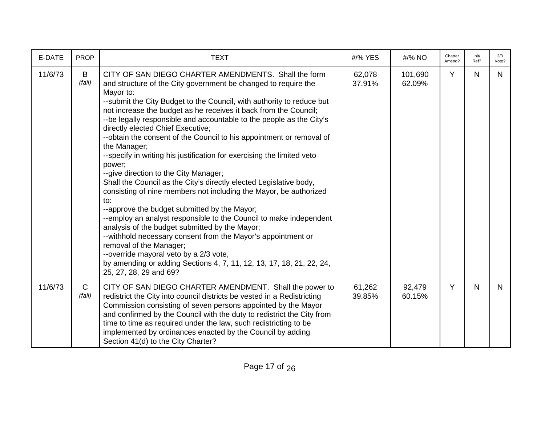| E-DATE  | <b>PROP</b>            | <b>TEXT</b>                                                                                                                                                                                                                                                                                                                                                                                                                                                                                                                                                                                                                                                                                                                                                                                                                                                                                                                                                                                                                                                                                                                                                                          | #/% YES          | #/% NO            | Charter<br>Amend? | Init/<br>Ref? | 2/3<br>Vote? |
|---------|------------------------|--------------------------------------------------------------------------------------------------------------------------------------------------------------------------------------------------------------------------------------------------------------------------------------------------------------------------------------------------------------------------------------------------------------------------------------------------------------------------------------------------------------------------------------------------------------------------------------------------------------------------------------------------------------------------------------------------------------------------------------------------------------------------------------------------------------------------------------------------------------------------------------------------------------------------------------------------------------------------------------------------------------------------------------------------------------------------------------------------------------------------------------------------------------------------------------|------------------|-------------------|-------------------|---------------|--------------|
| 11/6/73 | B<br>(fail)            | CITY OF SAN DIEGO CHARTER AMENDMENTS. Shall the form<br>and structure of the City government be changed to require the<br>Mayor to:<br>-- submit the City Budget to the Council, with authority to reduce but<br>not increase the budget as he receives it back from the Council;<br>--be legally responsible and accountable to the people as the City's<br>directly elected Chief Executive;<br>--obtain the consent of the Council to his appointment or removal of<br>the Manager;<br>--specify in writing his justification for exercising the limited veto<br>power;<br>--give direction to the City Manager;<br>Shall the Council as the City's directly elected Legislative body,<br>consisting of nine members not including the Mayor, be authorized<br>to:<br>--approve the budget submitted by the Mayor;<br>--employ an analyst responsible to the Council to make independent<br>analysis of the budget submitted by the Mayor;<br>--withhold necessary consent from the Mayor's appointment or<br>removal of the Manager;<br>--override mayoral veto by a 2/3 vote,<br>by amending or adding Sections 4, 7, 11, 12, 13, 17, 18, 21, 22, 24,<br>25, 27, 28, 29 and 69? | 62,078<br>37.91% | 101,690<br>62.09% | Y                 | N             | N.           |
| 11/6/73 | $\mathsf{C}$<br>(fail) | CITY OF SAN DIEGO CHARTER AMENDMENT. Shall the power to<br>redistrict the City into council districts be vested in a Redistricting<br>Commission consisting of seven persons appointed by the Mayor<br>and confirmed by the Council with the duty to redistrict the City from<br>time to time as required under the law, such redistricting to be<br>implemented by ordinances enacted by the Council by adding<br>Section 41(d) to the City Charter?                                                                                                                                                                                                                                                                                                                                                                                                                                                                                                                                                                                                                                                                                                                                | 61,262<br>39.85% | 92,479<br>60.15%  | Y                 | $\mathsf{N}$  | N.           |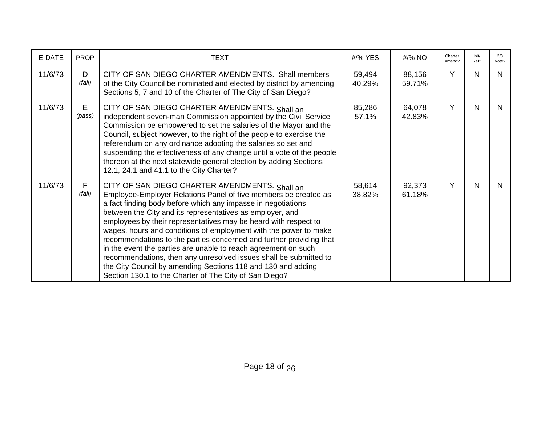| E-DATE  | <b>PROP</b> | TEXT                                                                                                                                                                                                                                                                                                                                                                                                                                                                                                                                                                                                                                                                                                                          | #/% YES          | #/% NO           | Charter<br>Amend? | Init/<br>Ref? | 2/3<br>Vote? |
|---------|-------------|-------------------------------------------------------------------------------------------------------------------------------------------------------------------------------------------------------------------------------------------------------------------------------------------------------------------------------------------------------------------------------------------------------------------------------------------------------------------------------------------------------------------------------------------------------------------------------------------------------------------------------------------------------------------------------------------------------------------------------|------------------|------------------|-------------------|---------------|--------------|
| 11/6/73 | D<br>(fail) | CITY OF SAN DIEGO CHARTER AMENDMENTS. Shall members<br>of the City Council be nominated and elected by district by amending<br>Sections 5, 7 and 10 of the Charter of The City of San Diego?                                                                                                                                                                                                                                                                                                                                                                                                                                                                                                                                  | 59,494<br>40.29% | 88,156<br>59.71% | Y                 | N             | N.           |
| 11/6/73 | E<br>(pass) | CITY OF SAN DIEGO CHARTER AMENDMENTS. Shall an<br>independent seven-man Commission appointed by the Civil Service<br>Commission be empowered to set the salaries of the Mayor and the<br>Council, subject however, to the right of the people to exercise the<br>referendum on any ordinance adopting the salaries so set and<br>suspending the effectiveness of any change until a vote of the people<br>thereon at the next statewide general election by adding Sections<br>12.1, 24.1 and 41.1 to the City Charter?                                                                                                                                                                                                       | 85,286<br>57.1%  | 64,078<br>42.83% | Y                 | N             | N.           |
| 11/6/73 | F<br>(fail) | CITY OF SAN DIEGO CHARTER AMENDMENTS. Shall an<br>Employee-Employer Relations Panel of five members be created as<br>a fact finding body before which any impasse in negotiations<br>between the City and its representatives as employer, and<br>employees by their representatives may be heard with respect to<br>wages, hours and conditions of employment with the power to make<br>recommendations to the parties concerned and further providing that<br>in the event the parties are unable to reach agreement on such<br>recommendations, then any unresolved issues shall be submitted to<br>the City Council by amending Sections 118 and 130 and adding<br>Section 130.1 to the Charter of The City of San Diego? | 58,614<br>38.82% | 92,373<br>61.18% | Y                 | N             | N.           |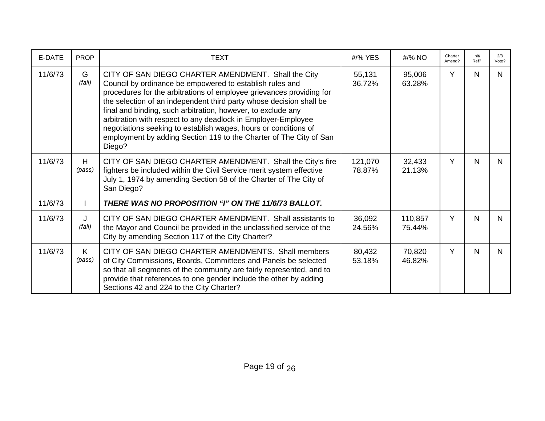| E-DATE  | <b>PROP</b>  | <b>TEXT</b>                                                                                                                                                                                                                                                                                                                                                                                                                                                                                                                                        | #/% YES           | #/% NO            | Charter<br>Amend? | Init/<br>Ref? | 2/3<br>Vote? |
|---------|--------------|----------------------------------------------------------------------------------------------------------------------------------------------------------------------------------------------------------------------------------------------------------------------------------------------------------------------------------------------------------------------------------------------------------------------------------------------------------------------------------------------------------------------------------------------------|-------------------|-------------------|-------------------|---------------|--------------|
| 11/6/73 | G<br>(fail)  | CITY OF SAN DIEGO CHARTER AMENDMENT. Shall the City<br>Council by ordinance be empowered to establish rules and<br>procedures for the arbitrations of employee grievances providing for<br>the selection of an independent third party whose decision shall be<br>final and binding, such arbitration, however, to exclude any<br>arbitration with respect to any deadlock in Employer-Employee<br>negotiations seeking to establish wages, hours or conditions of<br>employment by adding Section 119 to the Charter of The City of San<br>Diego? | 55,131<br>36.72%  | 95,006<br>63.28%  | Y                 | N             | N.           |
| 11/6/73 | H<br>(pass)  | CITY OF SAN DIEGO CHARTER AMENDMENT. Shall the City's fire<br>fighters be included within the Civil Service merit system effective<br>July 1, 1974 by amending Section 58 of the Charter of The City of<br>San Diego?                                                                                                                                                                                                                                                                                                                              | 121,070<br>78.87% | 32,433<br>21.13%  | Y                 | N             | N            |
| 11/6/73 |              | THERE WAS NO PROPOSITION "I" ON THE 11/6/73 BALLOT.                                                                                                                                                                                                                                                                                                                                                                                                                                                                                                |                   |                   |                   |               |              |
| 11/6/73 | J<br>(fail)  | CITY OF SAN DIEGO CHARTER AMENDMENT. Shall assistants to<br>the Mayor and Council be provided in the unclassified service of the<br>City by amending Section 117 of the City Charter?                                                                                                                                                                                                                                                                                                                                                              | 36,092<br>24.56%  | 110,857<br>75.44% | Y                 | N             | N.           |
| 11/6/73 | K.<br>(pass) | CITY OF SAN DIEGO CHARTER AMENDMENTS. Shall members<br>of City Commissions, Boards, Committees and Panels be selected<br>so that all segments of the community are fairly represented, and to<br>provide that references to one gender include the other by adding<br>Sections 42 and 224 to the City Charter?                                                                                                                                                                                                                                     | 80,432<br>53.18%  | 70,820<br>46.82%  | Y                 | N             | N.           |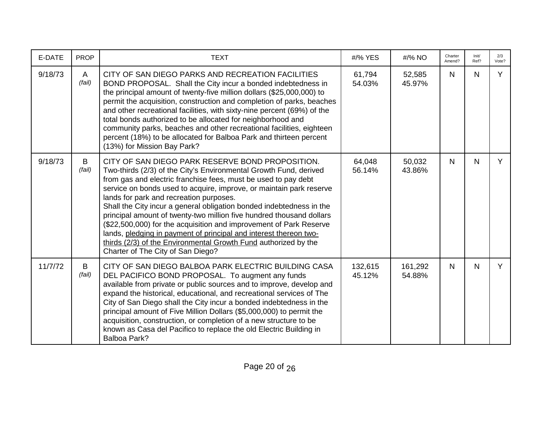| E-DATE  | <b>PROP</b> | <b>TEXT</b>                                                                                                                                                                                                                                                                                                                                                                                                                                                                                                                                                                                                                                                                                                  | #/% YES           | #/% NO            | Charter<br>Amend? | Init/<br>Ref? | 2/3<br>Vote? |
|---------|-------------|--------------------------------------------------------------------------------------------------------------------------------------------------------------------------------------------------------------------------------------------------------------------------------------------------------------------------------------------------------------------------------------------------------------------------------------------------------------------------------------------------------------------------------------------------------------------------------------------------------------------------------------------------------------------------------------------------------------|-------------------|-------------------|-------------------|---------------|--------------|
| 9/18/73 | A<br>(fail) | CITY OF SAN DIEGO PARKS AND RECREATION FACILITIES<br>BOND PROPOSAL. Shall the City incur a bonded indebtedness in<br>the principal amount of twenty-five million dollars (\$25,000,000) to<br>permit the acquisition, construction and completion of parks, beaches<br>and other recreational facilities, with sixty-nine percent (69%) of the<br>total bonds authorized to be allocated for neighborhood and<br>community parks, beaches and other recreational facilities, eighteen<br>percent (18%) to be allocated for Balboa Park and thirteen percent<br>(13%) for Mission Bay Park?                                                                                                                   | 61,794<br>54.03%  | 52,585<br>45.97%  | N                 | N             | Y            |
| 9/18/73 | B<br>(fail) | CITY OF SAN DIEGO PARK RESERVE BOND PROPOSITION.<br>Two-thirds (2/3) of the City's Environmental Growth Fund, derived<br>from gas and electric franchise fees, must be used to pay debt<br>service on bonds used to acquire, improve, or maintain park reserve<br>lands for park and recreation purposes.<br>Shall the City incur a general obligation bonded indebtedness in the<br>principal amount of twenty-two million five hundred thousand dollars<br>(\$22,500,000) for the acquisition and improvement of Park Reserve<br>lands, pledging in payment of principal and interest thereon two-<br>thirds (2/3) of the Environmental Growth Fund authorized by the<br>Charter of The City of San Diego? | 64,048<br>56.14%  | 50,032<br>43.86%  | N                 | N             | Y            |
| 11/7/72 | B<br>(fail) | CITY OF SAN DIEGO BALBOA PARK ELECTRIC BUILDING CASA<br>DEL PACIFICO BOND PROPOSAL. To augment any funds<br>available from private or public sources and to improve, develop and<br>expand the historical, educational, and recreational services of The<br>City of San Diego shall the City incur a bonded indebtedness in the<br>principal amount of Five Million Dollars (\$5,000,000) to permit the<br>acquisition, construction, or completion of a new structure to be<br>known as Casa del Pacifico to replace the old Electric Building in<br>Balboa Park?                                                                                                                                           | 132,615<br>45.12% | 161,292<br>54.88% | N                 | $\mathsf{N}$  | Y            |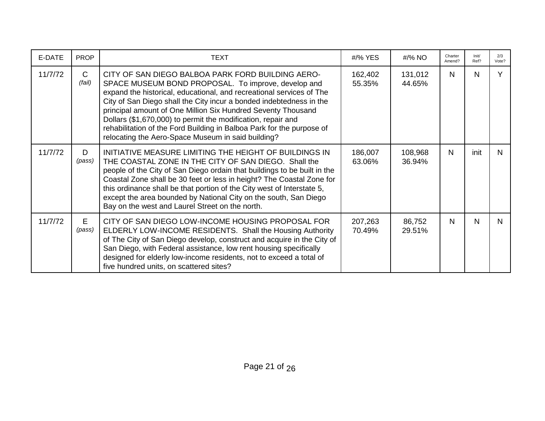| E-DATE  | <b>PROP</b>            | <b>TEXT</b>                                                                                                                                                                                                                                                                                                                                                                                                                                                                                                            | #/% YES           | #/% NO            | Charter<br>Amend? | Init/<br>Ref? | 2/3<br>Vote? |
|---------|------------------------|------------------------------------------------------------------------------------------------------------------------------------------------------------------------------------------------------------------------------------------------------------------------------------------------------------------------------------------------------------------------------------------------------------------------------------------------------------------------------------------------------------------------|-------------------|-------------------|-------------------|---------------|--------------|
| 11/7/72 | $\mathsf{C}$<br>(fail) | CITY OF SAN DIEGO BALBOA PARK FORD BUILDING AERO-<br>SPACE MUSEUM BOND PROPOSAL. To improve, develop and<br>expand the historical, educational, and recreational services of The<br>City of San Diego shall the City incur a bonded indebtedness in the<br>principal amount of One Million Six Hundred Seventy Thousand<br>Dollars (\$1,670,000) to permit the modification, repair and<br>rehabilitation of the Ford Building in Balboa Park for the purpose of<br>relocating the Aero-Space Museum in said building? | 162,402<br>55.35% | 131,012<br>44.65% | N                 | N             | Y            |
| 11/7/72 | D<br>(pass)            | INITIATIVE MEASURE LIMITING THE HEIGHT OF BUILDINGS IN<br>THE COASTAL ZONE IN THE CITY OF SAN DIEGO. Shall the<br>people of the City of San Diego ordain that buildings to be built in the<br>Coastal Zone shall be 30 feet or less in height? The Coastal Zone for<br>this ordinance shall be that portion of the City west of Interstate 5,<br>except the area bounded by National City on the south, San Diego<br>Bay on the west and Laurel Street on the north.                                                   | 186,007<br>63.06% | 108,968<br>36.94% | N                 | init          | N            |
| 11/7/72 | E.<br>(pass)           | CITY OF SAN DIEGO LOW-INCOME HOUSING PROPOSAL FOR<br>ELDERLY LOW-INCOME RESIDENTS. Shall the Housing Authority<br>of The City of San Diego develop, construct and acquire in the City of<br>San Diego, with Federal assistance, low rent housing specifically<br>designed for elderly low-income residents, not to exceed a total of<br>five hundred units, on scattered sites?                                                                                                                                        | 207,263<br>70.49% | 86,752<br>29.51%  | N                 | N             | N            |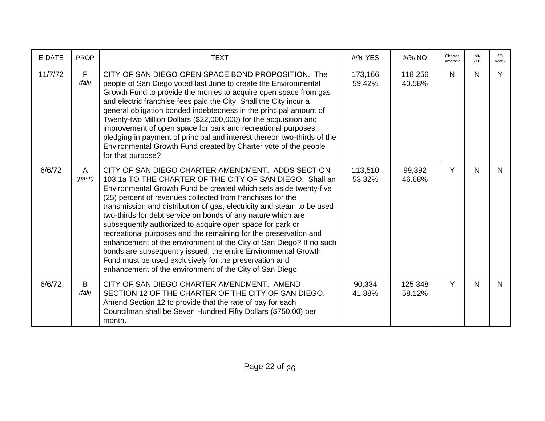| E-DATE  | <b>PROP</b> | <b>TEXT</b>                                                                                                                                                                                                                                                                                                                                                                                                                                                                                                                                                                                                                                                                                                                                                                                | #/% YES           | #/% NO            | Charter<br>Amend? | Init/<br>Ref? | 2/3<br>Vote? |
|---------|-------------|--------------------------------------------------------------------------------------------------------------------------------------------------------------------------------------------------------------------------------------------------------------------------------------------------------------------------------------------------------------------------------------------------------------------------------------------------------------------------------------------------------------------------------------------------------------------------------------------------------------------------------------------------------------------------------------------------------------------------------------------------------------------------------------------|-------------------|-------------------|-------------------|---------------|--------------|
| 11/7/72 | F<br>(fail) | CITY OF SAN DIEGO OPEN SPACE BOND PROPOSITION. The<br>people of San Diego voted last June to create the Environmental<br>Growth Fund to provide the monies to acquire open space from gas<br>and electric franchise fees paid the City. Shall the City incur a<br>general obligation bonded indebtedness in the principal amount of<br>Twenty-two Million Dollars (\$22,000,000) for the acquisition and<br>improvement of open space for park and recreational purposes,<br>pledging in payment of principal and interest thereon two-thirds of the<br>Environmental Growth Fund created by Charter vote of the people<br>for that purpose?                                                                                                                                               | 173,166<br>59.42% | 118,256<br>40.58% | $\mathsf{N}$      | N             | Y            |
| 6/6/72  | A<br>(pass) | CITY OF SAN DIEGO CHARTER AMENDMENT. ADDS SECTION<br>103.1a TO THE CHARTER OF THE CITY OF SAN DIEGO. Shall an<br>Environmental Growth Fund be created which sets aside twenty-five<br>(25) percent of revenues collected from franchises for the<br>transmission and distribution of gas, electricity and steam to be used<br>two-thirds for debt service on bonds of any nature which are<br>subsequently authorized to acquire open space for park or<br>recreational purposes and the remaining for the preservation and<br>enhancement of the environment of the City of San Diego? If no such<br>bonds are subsequently issued, the entire Environmental Growth<br>Fund must be used exclusively for the preservation and<br>enhancement of the environment of the City of San Diego. | 113,510<br>53.32% | 99,392<br>46.68%  | Y                 | N             | N.           |
| 6/6/72  | B<br>(fail) | CITY OF SAN DIEGO CHARTER AMENDMENT. AMEND<br>SECTION 12 OF THE CHARTER OF THE CITY OF SAN DIEGO.<br>Amend Section 12 to provide that the rate of pay for each<br>Councilman shall be Seven Hundred Fifty Dollars (\$750.00) per<br>month.                                                                                                                                                                                                                                                                                                                                                                                                                                                                                                                                                 | 90,334<br>41.88%  | 125,348<br>58.12% | Y                 | N             | N.           |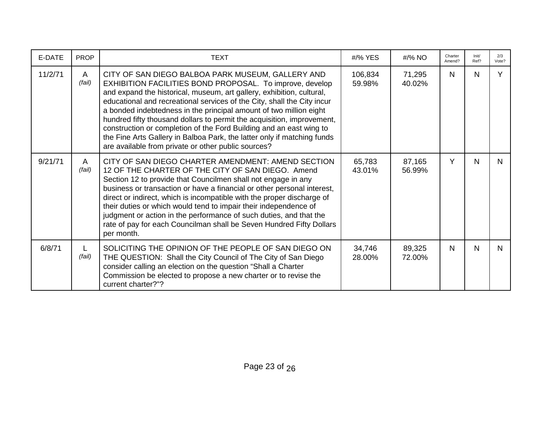| E-DATE  | <b>PROP</b>  | <b>TEXT</b>                                                                                                                                                                                                                                                                                                                                                                                                                                                                                                                                                                                                                | #/% YES           | #/% NO           | Charter<br>Amend? | Init/<br>Ref? | 2/3<br>Vote? |
|---------|--------------|----------------------------------------------------------------------------------------------------------------------------------------------------------------------------------------------------------------------------------------------------------------------------------------------------------------------------------------------------------------------------------------------------------------------------------------------------------------------------------------------------------------------------------------------------------------------------------------------------------------------------|-------------------|------------------|-------------------|---------------|--------------|
| 11/2/71 | A<br>(fail)  | CITY OF SAN DIEGO BALBOA PARK MUSEUM, GALLERY AND<br>EXHIBITION FACILITIES BOND PROPOSAL. To improve, develop<br>and expand the historical, museum, art gallery, exhibition, cultural,<br>educational and recreational services of the City, shall the City incur<br>a bonded indebtedness in the principal amount of two million eight<br>hundred fifty thousand dollars to permit the acquisition, improvement,<br>construction or completion of the Ford Building and an east wing to<br>the Fine Arts Gallery in Balboa Park, the latter only if matching funds<br>are available from private or other public sources? | 106,834<br>59.98% | 71,295<br>40.02% | N.                | N             | Y            |
| 9/21/71 | A<br>(fail)  | CITY OF SAN DIEGO CHARTER AMENDMENT: AMEND SECTION<br>12 OF THE CHARTER OF THE CITY OF SAN DIEGO. Amend<br>Section 12 to provide that Councilmen shall not engage in any<br>business or transaction or have a financial or other personal interest,<br>direct or indirect, which is incompatible with the proper discharge of<br>their duties or which would tend to impair their independence of<br>judgment or action in the performance of such duties, and that the<br>rate of pay for each Councilman shall be Seven Hundred Fifty Dollars<br>per month.                                                              | 65,783<br>43.01%  | 87,165<br>56.99% | Y                 | $\mathsf{N}$  | N            |
| 6/8/71  | L.<br>(fail) | SOLICITING THE OPINION OF THE PEOPLE OF SAN DIEGO ON<br>THE QUESTION: Shall the City Council of The City of San Diego<br>consider calling an election on the question "Shall a Charter<br>Commission be elected to propose a new charter or to revise the<br>current charter?"?                                                                                                                                                                                                                                                                                                                                            | 34,746<br>28.00%  | 89,325<br>72.00% | N.                | N             | N.           |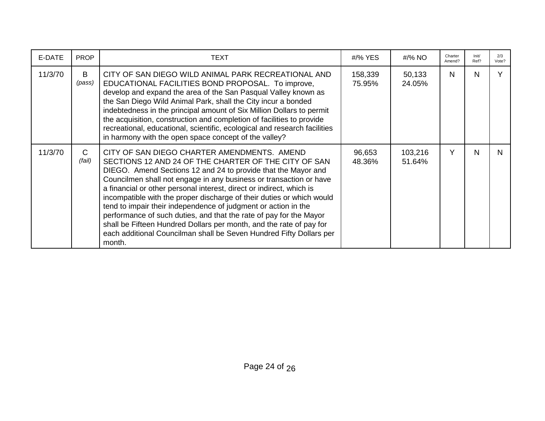| E-DATE  | <b>PROP</b>            | <b>TEXT</b>                                                                                                                                                                                                                                                                                                                                                                                                                                                                                                                                                                                                                                                                                 | #/% YES           | #/% NO            | Charter<br>Amend? | Init/<br>Ref? | 2/3<br>Vote? |
|---------|------------------------|---------------------------------------------------------------------------------------------------------------------------------------------------------------------------------------------------------------------------------------------------------------------------------------------------------------------------------------------------------------------------------------------------------------------------------------------------------------------------------------------------------------------------------------------------------------------------------------------------------------------------------------------------------------------------------------------|-------------------|-------------------|-------------------|---------------|--------------|
| 11/3/70 | B<br>(pass)            | CITY OF SAN DIEGO WILD ANIMAL PARK RECREATIONAL AND<br>EDUCATIONAL FACILITIES BOND PROPOSAL. To improve,<br>develop and expand the area of the San Pasqual Valley known as<br>the San Diego Wild Animal Park, shall the City incur a bonded<br>indebtedness in the principal amount of Six Million Dollars to permit<br>the acquisition, construction and completion of facilities to provide<br>recreational, educational, scientific, ecological and research facilities<br>in harmony with the open space concept of the valley?                                                                                                                                                         | 158,339<br>75.95% | 50,133<br>24.05%  | N                 | N             |              |
| 11/3/70 | $\mathsf{C}$<br>(fail) | CITY OF SAN DIEGO CHARTER AMENDMENTS. AMEND<br>SECTIONS 12 AND 24 OF THE CHARTER OF THE CITY OF SAN<br>DIEGO. Amend Sections 12 and 24 to provide that the Mayor and<br>Councilmen shall not engage in any business or transaction or have<br>a financial or other personal interest, direct or indirect, which is<br>incompatible with the proper discharge of their duties or which would<br>tend to impair their independence of judgment or action in the<br>performance of such duties, and that the rate of pay for the Mayor<br>shall be Fifteen Hundred Dollars per month, and the rate of pay for<br>each additional Councilman shall be Seven Hundred Fifty Dollars per<br>month. | 96,653<br>48.36%  | 103,216<br>51.64% | Y                 | N             | N            |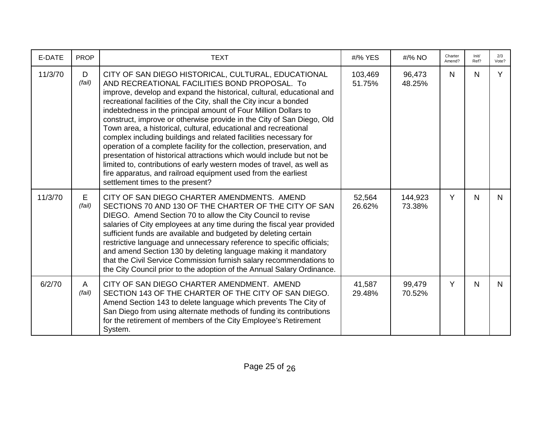| E-DATE  | <b>PROP</b> | <b>TEXT</b>                                                                                                                                                                                                                                                                                                                                                                                                                                                                                                                                                                                                                                                                                                                                                                                                                                                              | #/% YES           | #/% NO            | Charter<br>Amend? | Init/<br>Ref? | 2/3<br>Vote? |
|---------|-------------|--------------------------------------------------------------------------------------------------------------------------------------------------------------------------------------------------------------------------------------------------------------------------------------------------------------------------------------------------------------------------------------------------------------------------------------------------------------------------------------------------------------------------------------------------------------------------------------------------------------------------------------------------------------------------------------------------------------------------------------------------------------------------------------------------------------------------------------------------------------------------|-------------------|-------------------|-------------------|---------------|--------------|
| 11/3/70 | D<br>(fail) | CITY OF SAN DIEGO HISTORICAL, CULTURAL, EDUCATIONAL<br>AND RECREATIONAL FACILITIES BOND PROPOSAL. To<br>improve, develop and expand the historical, cultural, educational and<br>recreational facilities of the City, shall the City incur a bonded<br>indebtedness in the principal amount of Four Million Dollars to<br>construct, improve or otherwise provide in the City of San Diego, Old<br>Town area, a historical, cultural, educational and recreational<br>complex including buildings and related facilities necessary for<br>operation of a complete facility for the collection, preservation, and<br>presentation of historical attractions which would include but not be<br>limited to, contributions of early western modes of travel, as well as<br>fire apparatus, and railroad equipment used from the earliest<br>settlement times to the present? | 103,469<br>51.75% | 96,473<br>48.25%  | N                 | N             | Y            |
| 11/3/70 | E<br>(fail) | CITY OF SAN DIEGO CHARTER AMENDMENTS. AMEND<br>SECTIONS 70 AND 130 OF THE CHARTER OF THE CITY OF SAN<br>DIEGO. Amend Section 70 to allow the City Council to revise<br>salaries of City employees at any time during the fiscal year provided<br>sufficient funds are available and budgeted by deleting certain<br>restrictive language and unnecessary reference to specific officials;<br>and amend Section 130 by deleting language making it mandatory<br>that the Civil Service Commission furnish salary recommendations to<br>the City Council prior to the adoption of the Annual Salary Ordinance.                                                                                                                                                                                                                                                             | 52,564<br>26.62%  | 144,923<br>73.38% | Y                 | $\mathsf{N}$  | N.           |
| 6/2/70  | A<br>(fail) | CITY OF SAN DIEGO CHARTER AMENDMENT. AMEND<br>SECTION 143 OF THE CHARTER OF THE CITY OF SAN DIEGO.<br>Amend Section 143 to delete language which prevents The City of<br>San Diego from using alternate methods of funding its contributions<br>for the retirement of members of the City Employee's Retirement<br>System.                                                                                                                                                                                                                                                                                                                                                                                                                                                                                                                                               | 41,587<br>29.48%  | 99,479<br>70.52%  | Y                 | N             | N.           |